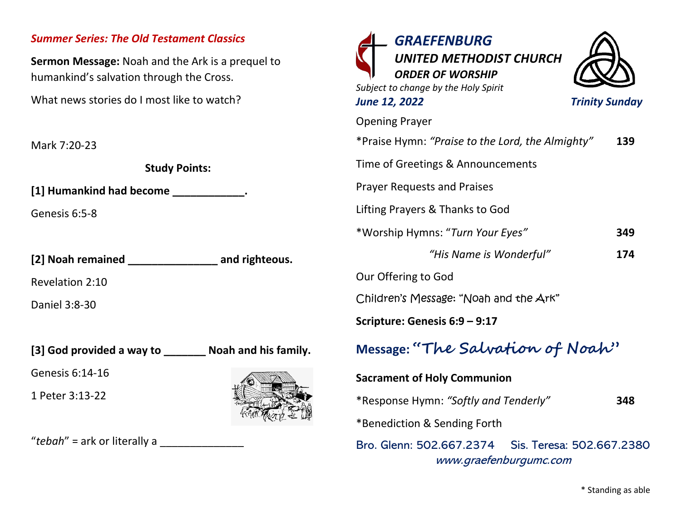## *Summer Series: The Old Testament Classics*

**Sermon Message:** Noah and the Ark is a prequel to humankind's salvation through the Cross.

What news stories do I most like to watch?

Mark 7:20-23

**Study Points:**

**[1] Humankind had become \_\_\_\_\_\_\_\_\_\_\_\_.**

Genesis 6:5-8

**[2] Noah remained \_\_\_\_\_\_\_\_\_\_\_\_\_\_\_ and righteous.**

Revelation 2:10

Daniel 3:8-30

**[3] God provided a way to \_\_\_\_\_\_\_ Noah and his family.**

Genesis 6:14-16

1 Peter 3:13-22



"*tebah*" = ark or literally a \_\_\_\_\_\_\_\_\_\_\_\_\_\_

| <b>GRAEFENBURG</b><br>UNITED METHODIST CHURCH<br><b>ORDER OF WORSHIP</b><br>Subject to change by the Holy Spirit<br><b>June 12, 2022</b> | <b>Trinity Sunday</b> |
|------------------------------------------------------------------------------------------------------------------------------------------|-----------------------|
| <b>Opening Prayer</b>                                                                                                                    |                       |
| *Praise Hymn: "Praise to the Lord, the Almighty"                                                                                         | 139                   |
| Time of Greetings & Announcements                                                                                                        |                       |
| <b>Prayer Requests and Praises</b>                                                                                                       |                       |
| Lifting Prayers & Thanks to God                                                                                                          |                       |
| *Worship Hymns: "Turn Your Eyes"                                                                                                         | 349                   |
| "His Name is Wonderful"                                                                                                                  | 174                   |
| Our Offering to God                                                                                                                      |                       |
| Children's Message: "Noah and the Ark"                                                                                                   |                       |
| Scripture: Genesis 6:9 - 9:17                                                                                                            |                       |
| Message: "The Salvation of Noah"                                                                                                         |                       |
| <b>Sacrament of Holy Communion</b>                                                                                                       |                       |
| *Response Hymn: "Softly and Tenderly"                                                                                                    | 348                   |
| *Benediction & Sending Forth                                                                                                             |                       |
| Bro. Glenn: 502.667.2374<br>Sis. Teresa: 502.667.2380<br>www.graefenburgumc.com                                                          |                       |

\* Standing as able